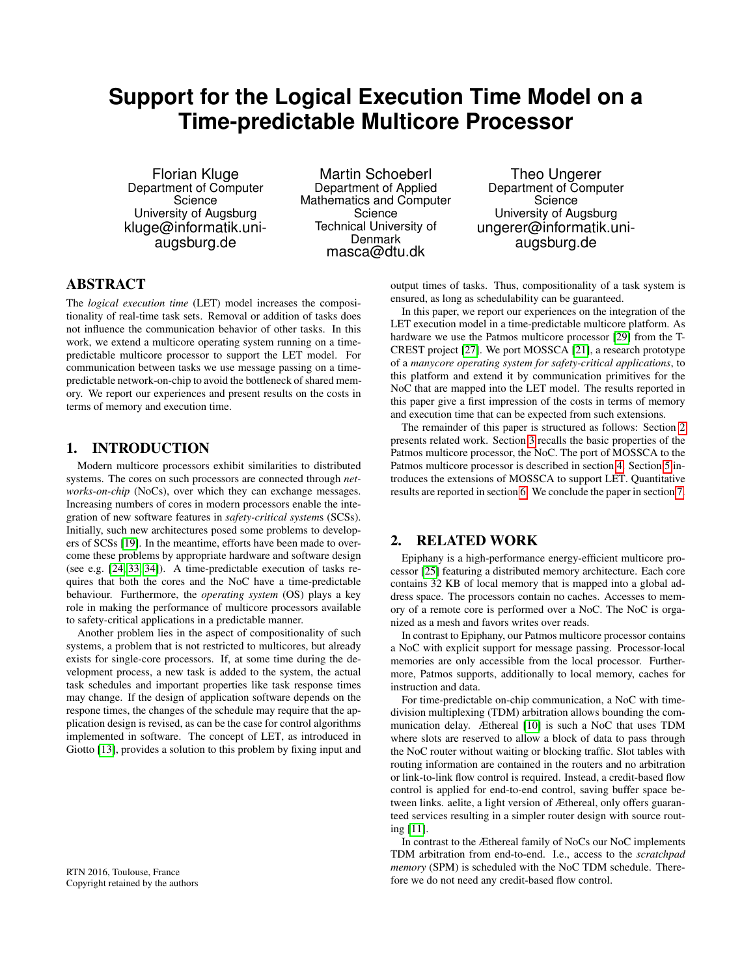# **Support for the Logical Execution Time Model on a Time-predictable Multicore Processor**

Florian Kluge Department of Computer Science University of Augsburg kluge@informatik.uniaugsburg.de

Martin Schoeberl Department of Applied Mathematics and Computer Science Technical University of Denmark masca@dtu.dk

Theo Ungerer Department of Computer **Science** University of Augsburg ungerer@informatik.uniaugsburg.de

## ABSTRACT

The *logical execution time* (LET) model increases the compositionality of real-time task sets. Removal or addition of tasks does not influence the communication behavior of other tasks. In this work, we extend a multicore operating system running on a timepredictable multicore processor to support the LET model. For communication between tasks we use message passing on a timepredictable network-on-chip to avoid the bottleneck of shared memory. We report our experiences and present results on the costs in terms of memory and execution time.

## 1. INTRODUCTION

Modern multicore processors exhibit similarities to distributed systems. The cores on such processors are connected through *networks-on-chip* (NoCs), over which they can exchange messages. Increasing numbers of cores in modern processors enable the integration of new software features in *safety-critical system*s (SCSs). Initially, such new architectures posed some problems to developers of SCSs [\[19\]](#page-5-0). In the meantime, efforts have been made to overcome these problems by appropriate hardware and software design (see e.g. [\[24,](#page-5-1) [33,](#page-5-2) [34\]](#page-5-3)). A time-predictable execution of tasks requires that both the cores and the NoC have a time-predictable behaviour. Furthermore, the *operating system* (OS) plays a key role in making the performance of multicore processors available to safety-critical applications in a predictable manner.

Another problem lies in the aspect of compositionality of such systems, a problem that is not restricted to multicores, but already exists for single-core processors. If, at some time during the development process, a new task is added to the system, the actual task schedules and important properties like task response times may change. If the design of application software depends on the respone times, the changes of the schedule may require that the application design is revised, as can be the case for control algorithms implemented in software. The concept of LET, as introduced in Giotto [\[13\]](#page-5-4), provides a solution to this problem by fixing input and

output times of tasks. Thus, compositionality of a task system is ensured, as long as schedulability can be guaranteed.

In this paper, we report our experiences on the integration of the LET execution model in a time-predictable multicore platform. As hardware we use the Patmos multicore processor [\[29\]](#page-5-5) from the T-CREST project [\[27\]](#page-5-6). We port MOSSCA [\[21\]](#page-5-7), a research prototype of a *manycore operating system for safety-critical applications*, to this platform and extend it by communication primitives for the NoC that are mapped into the LET model. The results reported in this paper give a first impression of the costs in terms of memory and execution time that can be expected from such extensions.

The remainder of this paper is structured as follows: Section [2](#page-0-0) presents related work. Section [3](#page-1-0) recalls the basic properties of the Patmos multicore processor, the NoC. The port of MOSSCA to the Patmos multicore processor is described in section [4.](#page-2-0) Section [5](#page-2-1) introduces the extensions of MOSSCA to support LET. Quantitative results are reported in section [6.](#page-3-0) We conclude the paper in section [7.](#page-4-0)

## <span id="page-0-0"></span>2. RELATED WORK

Epiphany is a high-performance energy-efficient multicore processor [\[25\]](#page-5-8) featuring a distributed memory architecture. Each core contains 32 KB of local memory that is mapped into a global address space. The processors contain no caches. Accesses to memory of a remote core is performed over a NoC. The NoC is organized as a mesh and favors writes over reads.

In contrast to Epiphany, our Patmos multicore processor contains a NoC with explicit support for message passing. Processor-local memories are only accessible from the local processor. Furthermore, Patmos supports, additionally to local memory, caches for instruction and data.

For time-predictable on-chip communication, a NoC with timedivision multiplexing (TDM) arbitration allows bounding the communication delay. Æthereal [\[10\]](#page-4-1) is such a NoC that uses TDM where slots are reserved to allow a block of data to pass through the NoC router without waiting or blocking traffic. Slot tables with routing information are contained in the routers and no arbitration or link-to-link flow control is required. Instead, a credit-based flow control is applied for end-to-end control, saving buffer space between links. aelite, a light version of Æthereal, only offers guaranteed services resulting in a simpler router design with source routing [\[11\]](#page-4-2).

In contrast to the Æthereal family of NoCs our NoC implements TDM arbitration from end-to-end. I.e., access to the *scratchpad memory* (SPM) is scheduled with the NoC TDM schedule. Therefore we do not need any credit-based flow control.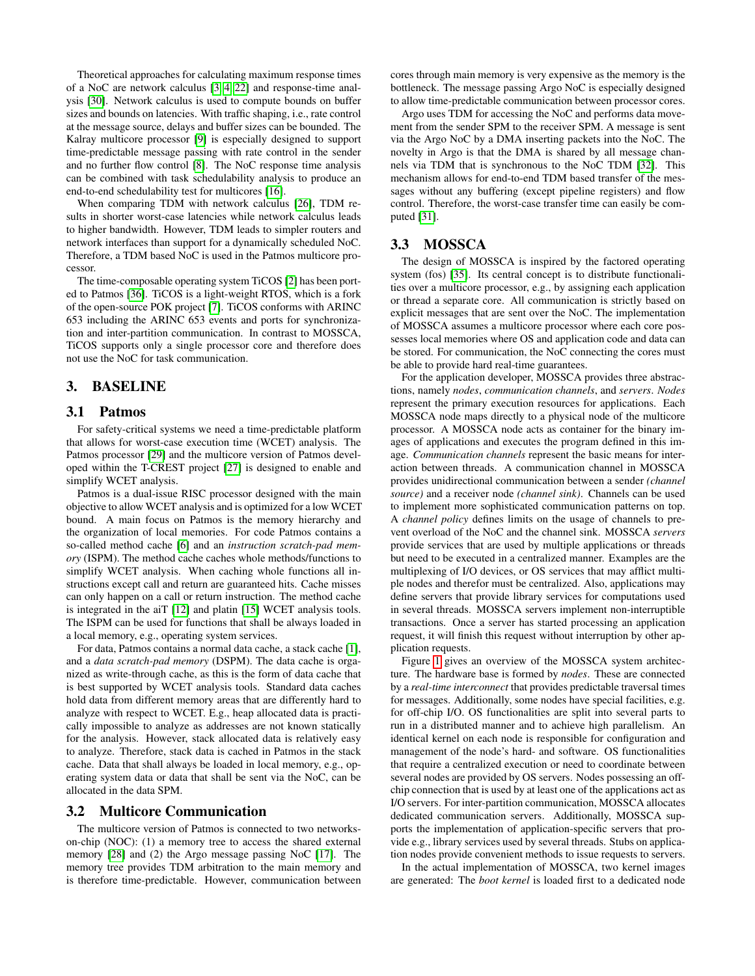Theoretical approaches for calculating maximum response times of a NoC are network calculus [\[3,](#page-4-3) [4,](#page-4-4) [22\]](#page-5-9) and response-time analysis [\[30\]](#page-5-10). Network calculus is used to compute bounds on buffer sizes and bounds on latencies. With traffic shaping, i.e., rate control at the message source, delays and buffer sizes can be bounded. The Kalray multicore processor [\[9\]](#page-4-5) is especially designed to support time-predictable message passing with rate control in the sender and no further flow control [\[8\]](#page-4-6). The NoC response time analysis can be combined with task schedulability analysis to produce an end-to-end schedulability test for multicores [\[16\]](#page-5-11).

When comparing TDM with network calculus [\[26\]](#page-5-12), TDM results in shorter worst-case latencies while network calculus leads to higher bandwidth. However, TDM leads to simpler routers and network interfaces than support for a dynamically scheduled NoC. Therefore, a TDM based NoC is used in the Patmos multicore processor.

The time-composable operating system TiCOS [\[2\]](#page-4-7) has been ported to Patmos [\[36\]](#page-5-13). TiCOS is a light-weight RTOS, which is a fork of the open-source POK project [\[7\]](#page-4-8). TiCOS conforms with ARINC 653 including the ARINC 653 events and ports for synchronization and inter-partition communication. In contrast to MOSSCA, TiCOS supports only a single processor core and therefore does not use the NoC for task communication.

## <span id="page-1-0"></span>3. BASELINE

#### 3.1 Patmos

For safety-critical systems we need a time-predictable platform that allows for worst-case execution time (WCET) analysis. The Patmos processor [\[29\]](#page-5-5) and the multicore version of Patmos developed within the T-CREST project [\[27\]](#page-5-6) is designed to enable and simplify WCET analysis.

Patmos is a dual-issue RISC processor designed with the main objective to allow WCET analysis and is optimized for a low WCET bound. A main focus on Patmos is the memory hierarchy and the organization of local memories. For code Patmos contains a so-called method cache [\[6\]](#page-4-9) and an *instruction scratch-pad memory* (ISPM). The method cache caches whole methods/functions to simplify WCET analysis. When caching whole functions all instructions except call and return are guaranteed hits. Cache misses can only happen on a call or return instruction. The method cache is integrated in the aiT [\[12\]](#page-5-14) and platin [\[15\]](#page-5-15) WCET analysis tools. The ISPM can be used for functions that shall be always loaded in a local memory, e.g., operating system services.

For data, Patmos contains a normal data cache, a stack cache [\[1\]](#page-4-10), and a *data scratch-pad memory* (DSPM). The data cache is organized as write-through cache, as this is the form of data cache that is best supported by WCET analysis tools. Standard data caches hold data from different memory areas that are differently hard to analyze with respect to WCET. E.g., heap allocated data is practically impossible to analyze as addresses are not known statically for the analysis. However, stack allocated data is relatively easy to analyze. Therefore, stack data is cached in Patmos in the stack cache. Data that shall always be loaded in local memory, e.g., operating system data or data that shall be sent via the NoC, can be allocated in the data SPM.

#### 3.2 Multicore Communication

The multicore version of Patmos is connected to two networkson-chip (NOC): (1) a memory tree to access the shared external memory [\[28\]](#page-5-16) and (2) the Argo message passing NoC [\[17\]](#page-5-17). The memory tree provides TDM arbitration to the main memory and is therefore time-predictable. However, communication between cores through main memory is very expensive as the memory is the bottleneck. The message passing Argo NoC is especially designed to allow time-predictable communication between processor cores.

Argo uses TDM for accessing the NoC and performs data movement from the sender SPM to the receiver SPM. A message is sent via the Argo NoC by a DMA inserting packets into the NoC. The novelty in Argo is that the DMA is shared by all message channels via TDM that is synchronous to the NoC TDM [\[32\]](#page-5-18). This mechanism allows for end-to-end TDM based transfer of the messages without any buffering (except pipeline registers) and flow control. Therefore, the worst-case transfer time can easily be computed [\[31\]](#page-5-19).

#### 3.3 MOSSCA

The design of MOSSCA is inspired by the factored operating system (fos) [\[35\]](#page-5-20). Its central concept is to distribute functionalities over a multicore processor, e.g., by assigning each application or thread a separate core. All communication is strictly based on explicit messages that are sent over the NoC. The implementation of MOSSCA assumes a multicore processor where each core possesses local memories where OS and application code and data can be stored. For communication, the NoC connecting the cores must be able to provide hard real-time guarantees.

For the application developer, MOSSCA provides three abstractions, namely *nodes*, *communication channels*, and *servers*. *Nodes* represent the primary execution resources for applications. Each MOSSCA node maps directly to a physical node of the multicore processor. A MOSSCA node acts as container for the binary images of applications and executes the program defined in this image. *Communication channels* represent the basic means for interaction between threads. A communication channel in MOSSCA provides unidirectional communication between a sender *(channel source)* and a receiver node *(channel sink)*. Channels can be used to implement more sophisticated communication patterns on top. A *channel policy* defines limits on the usage of channels to prevent overload of the NoC and the channel sink. MOSSCA *servers* provide services that are used by multiple applications or threads but need to be executed in a centralized manner. Examples are the multiplexing of I/O devices, or OS services that may afflict multiple nodes and therefor must be centralized. Also, applications may define servers that provide library services for computations used in several threads. MOSSCA servers implement non-interruptible transactions. Once a server has started processing an application request, it will finish this request without interruption by other application requests.

Figure [1](#page-2-2) gives an overview of the MOSSCA system architecture. The hardware base is formed by *nodes*. These are connected by a *real-time interconnect* that provides predictable traversal times for messages. Additionally, some nodes have special facilities, e.g. for off-chip I/O. OS functionalities are split into several parts to run in a distributed manner and to achieve high parallelism. An identical kernel on each node is responsible for configuration and management of the node's hard- and software. OS functionalities that require a centralized execution or need to coordinate between several nodes are provided by OS servers. Nodes possessing an offchip connection that is used by at least one of the applications act as I/O servers. For inter-partition communication, MOSSCA allocates dedicated communication servers. Additionally, MOSSCA supports the implementation of application-specific servers that provide e.g., library services used by several threads. Stubs on application nodes provide convenient methods to issue requests to servers.

In the actual implementation of MOSSCA, two kernel images are generated: The *boot kernel* is loaded first to a dedicated node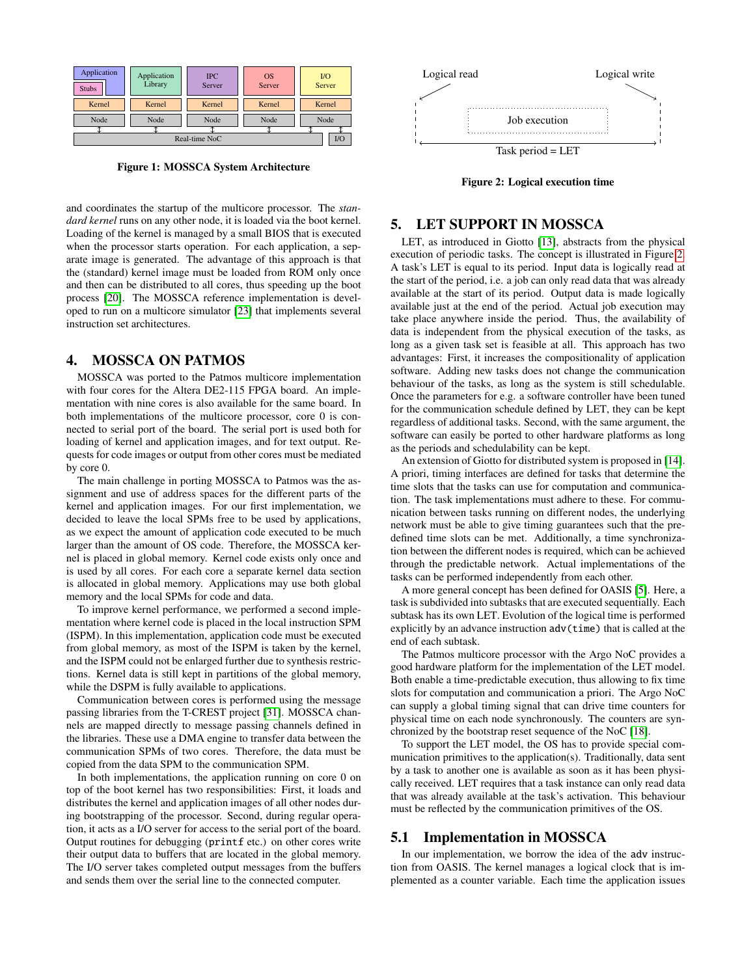

<span id="page-2-2"></span>Figure 1: MOSSCA System Architecture

and coordinates the startup of the multicore processor. The *standard kernel* runs on any other node, it is loaded via the boot kernel. Loading of the kernel is managed by a small BIOS that is executed when the processor starts operation. For each application, a separate image is generated. The advantage of this approach is that the (standard) kernel image must be loaded from ROM only once and then can be distributed to all cores, thus speeding up the boot process [\[20\]](#page-5-21). The MOSSCA reference implementation is developed to run on a multicore simulator [\[23\]](#page-5-22) that implements several instruction set architectures.

## <span id="page-2-0"></span>4. MOSSCA ON PATMOS

MOSSCA was ported to the Patmos multicore implementation with four cores for the Altera DE2-115 FPGA board. An implementation with nine cores is also available for the same board. In both implementations of the multicore processor, core 0 is connected to serial port of the board. The serial port is used both for loading of kernel and application images, and for text output. Requests for code images or output from other cores must be mediated by core 0.

The main challenge in porting MOSSCA to Patmos was the assignment and use of address spaces for the different parts of the kernel and application images. For our first implementation, we decided to leave the local SPMs free to be used by applications, as we expect the amount of application code executed to be much larger than the amount of OS code. Therefore, the MOSSCA kernel is placed in global memory. Kernel code exists only once and is used by all cores. For each core a separate kernel data section is allocated in global memory. Applications may use both global memory and the local SPMs for code and data.

To improve kernel performance, we performed a second implementation where kernel code is placed in the local instruction SPM (ISPM). In this implementation, application code must be executed from global memory, as most of the ISPM is taken by the kernel, and the ISPM could not be enlarged further due to synthesis restrictions. Kernel data is still kept in partitions of the global memory, while the DSPM is fully available to applications.

Communication between cores is performed using the message passing libraries from the T-CREST project [\[31\]](#page-5-19). MOSSCA channels are mapped directly to message passing channels defined in the libraries. These use a DMA engine to transfer data between the communication SPMs of two cores. Therefore, the data must be copied from the data SPM to the communication SPM.

In both implementations, the application running on core 0 on top of the boot kernel has two responsibilities: First, it loads and distributes the kernel and application images of all other nodes during bootstrapping of the processor. Second, during regular operation, it acts as a I/O server for access to the serial port of the board. Output routines for debugging (printf etc.) on other cores write their output data to buffers that are located in the global memory. The I/O server takes completed output messages from the buffers and sends them over the serial line to the connected computer.



<span id="page-2-3"></span>Figure 2: Logical execution time

## <span id="page-2-1"></span>5. LET SUPPORT IN MOSSCA

LET, as introduced in Giotto [\[13\]](#page-5-4), abstracts from the physical execution of periodic tasks. The concept is illustrated in Figure [2.](#page-2-3) A task's LET is equal to its period. Input data is logically read at the start of the period, i.e. a job can only read data that was already available at the start of its period. Output data is made logically available just at the end of the period. Actual job execution may take place anywhere inside the period. Thus, the availability of data is independent from the physical execution of the tasks, as long as a given task set is feasible at all. This approach has two advantages: First, it increases the compositionality of application software. Adding new tasks does not change the communication behaviour of the tasks, as long as the system is still schedulable. Once the parameters for e.g. a software controller have been tuned for the communication schedule defined by LET, they can be kept regardless of additional tasks. Second, with the same argument, the software can easily be ported to other hardware platforms as long as the periods and schedulability can be kept.

An extension of Giotto for distributed system is proposed in [\[14\]](#page-5-23). A priori, timing interfaces are defined for tasks that determine the time slots that the tasks can use for computation and communication. The task implementations must adhere to these. For communication between tasks running on different nodes, the underlying network must be able to give timing guarantees such that the predefined time slots can be met. Additionally, a time synchronization between the different nodes is required, which can be achieved through the predictable network. Actual implementations of the tasks can be performed independently from each other.

A more general concept has been defined for OASIS [\[5\]](#page-4-11). Here, a task is subdivided into subtasks that are executed sequentially. Each subtask has its own LET. Evolution of the logical time is performed explicitly by an advance instruction adv(time) that is called at the end of each subtask.

The Patmos multicore processor with the Argo NoC provides a good hardware platform for the implementation of the LET model. Both enable a time-predictable execution, thus allowing to fix time slots for computation and communication a priori. The Argo NoC can supply a global timing signal that can drive time counters for physical time on each node synchronously. The counters are synchronized by the bootstrap reset sequence of the NoC [\[18\]](#page-5-24).

To support the LET model, the OS has to provide special communication primitives to the application(s). Traditionally, data sent by a task to another one is available as soon as it has been physically received. LET requires that a task instance can only read data that was already available at the task's activation. This behaviour must be reflected by the communication primitives of the OS.

#### 5.1 Implementation in MOSSCA

In our implementation, we borrow the idea of the adv instruction from OASIS. The kernel manages a logical clock that is implemented as a counter variable. Each time the application issues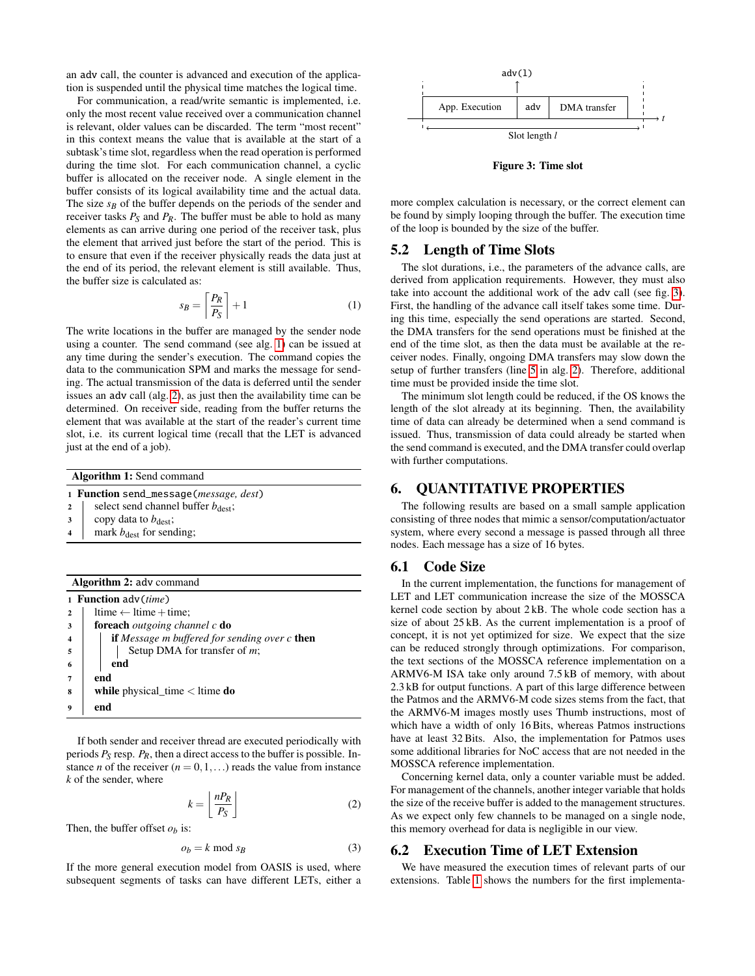an adv call, the counter is advanced and execution of the application is suspended until the physical time matches the logical time.

For communication, a read/write semantic is implemented, i.e. only the most recent value received over a communication channel is relevant, older values can be discarded. The term "most recent" in this context means the value that is available at the start of a subtask's time slot, regardless when the read operation is performed during the time slot. For each communication channel, a cyclic buffer is allocated on the receiver node. A single element in the buffer consists of its logical availability time and the actual data. The size *sB* of the buffer depends on the periods of the sender and receiver tasks *P<sup>S</sup>* and *PR*. The buffer must be able to hold as many elements as can arrive during one period of the receiver task, plus the element that arrived just before the start of the period. This is to ensure that even if the receiver physically reads the data just at the end of its period, the relevant element is still available. Thus, the buffer size is calculated as:

$$
s_B = \left\lceil \frac{P_R}{P_S} \right\rceil + 1\tag{1}
$$

The write locations in the buffer are managed by the sender node using a counter. The send command (see alg. [1\)](#page-3-1) can be issued at any time during the sender's execution. The command copies the data to the communication SPM and marks the message for sending. The actual transmission of the data is deferred until the sender issues an adv call (alg. [2\)](#page-3-2), as just then the availability time can be determined. On receiver side, reading from the buffer returns the element that was available at the start of the reader's current time slot, i.e. its current logical time (recall that the LET is advanced just at the end of a job).

| Algorithm 1: Send command |                                                 |  |  |
|---------------------------|-------------------------------------------------|--|--|
|                           | 1 Function send_message( <i>message, dest</i> ) |  |  |
|                           | select send channel buffer $b_{\text{dest}}$ ;  |  |  |
| $\overline{\mathbf{3}}$   | copy data to $b_{\text{dest}}$ ;                |  |  |
| $\overline{\mathbf{4}}$   | mark $b_{\text{dest}}$ for sending;             |  |  |
|                           |                                                 |  |  |

<span id="page-3-1"></span>Algorithm 2: adv command

<span id="page-3-5"></span><span id="page-3-4"></span>

| 1 <b>Function</b> adv( <i>time</i> ) |                                                        |  |  |  |  |
|--------------------------------------|--------------------------------------------------------|--|--|--|--|
| $\overline{2}$                       | $ltime \leftarrow litime + time;$                      |  |  |  |  |
| $\overline{\mathbf{3}}$              | foreach outgoing channel c do                          |  |  |  |  |
| $\overline{4}$                       | <b>if</b> Message m buffered for sending over $c$ then |  |  |  |  |
| $\overline{5}$                       | Setup DMA for transfer of $m$ ;                        |  |  |  |  |
| 6                                    | end                                                    |  |  |  |  |
|                                      | end                                                    |  |  |  |  |
| 8                                    | while physical time $\langle$ ltime do                 |  |  |  |  |
|                                      | end                                                    |  |  |  |  |

<span id="page-3-6"></span><span id="page-3-2"></span>If both sender and receiver thread are executed periodically with periods  $P_S$  resp.  $P_R$ , then a direct access to the buffer is possible. Instance *n* of the receiver  $(n = 0, 1, \ldots)$  reads the value from instance *k* of the sender, where

$$
k = \left\lfloor \frac{nP_R}{P_S} \right\rfloor \tag{2}
$$

Then, the buffer offset  $o<sub>b</sub>$  is:

$$
o_b = k \mod s_B \tag{3}
$$

If the more general execution model from OASIS is used, where subsequent segments of tasks can have different LETs, either a



<span id="page-3-3"></span>Figure 3: Time slot

more complex calculation is necessary, or the correct element can be found by simply looping through the buffer. The execution time of the loop is bounded by the size of the buffer.

#### 5.2 Length of Time Slots

The slot durations, i.e., the parameters of the advance calls, are derived from application requirements. However, they must also take into account the additional work of the adv call (see fig. [3\)](#page-3-3). First, the handling of the advance call itself takes some time. During this time, especially the send operations are started. Second, the DMA transfers for the send operations must be finished at the end of the time slot, as then the data must be available at the receiver nodes. Finally, ongoing DMA transfers may slow down the setup of further transfers (line [5](#page-3-4) in alg. [2\)](#page-3-2). Therefore, additional time must be provided inside the time slot.

The minimum slot length could be reduced, if the OS knows the length of the slot already at its beginning. Then, the availability time of data can already be determined when a send command is issued. Thus, transmission of data could already be started when the send command is executed, and the DMA transfer could overlap with further computations.

#### <span id="page-3-0"></span>6. QUANTITATIVE PROPERTIES

The following results are based on a small sample application consisting of three nodes that mimic a sensor/computation/actuator system, where every second a message is passed through all three nodes. Each message has a size of 16 bytes.

#### 6.1 Code Size

In the current implementation, the functions for management of LET and LET communication increase the size of the MOSSCA kernel code section by about 2 kB. The whole code section has a size of about 25 kB. As the current implementation is a proof of concept, it is not yet optimized for size. We expect that the size can be reduced strongly through optimizations. For comparison, the text sections of the MOSSCA reference implementation on a ARMV6-M ISA take only around 7.5 kB of memory, with about 2.3 kB for output functions. A part of this large difference between the Patmos and the ARMV6-M code sizes stems from the fact, that the ARMV6-M images mostly uses Thumb instructions, most of which have a width of only 16 Bits, whereas Patmos instructions have at least 32 Bits. Also, the implementation for Patmos uses some additional libraries for NoC access that are not needed in the MOSSCA reference implementation.

Concerning kernel data, only a counter variable must be added. For management of the channels, another integer variable that holds the size of the receive buffer is added to the management structures. As we expect only few channels to be managed on a single node, this memory overhead for data is negligible in our view.

#### 6.2 Execution Time of LET Extension

We have measured the execution times of relevant parts of our extensions. Table [1](#page-4-12) shows the numbers for the first implementa-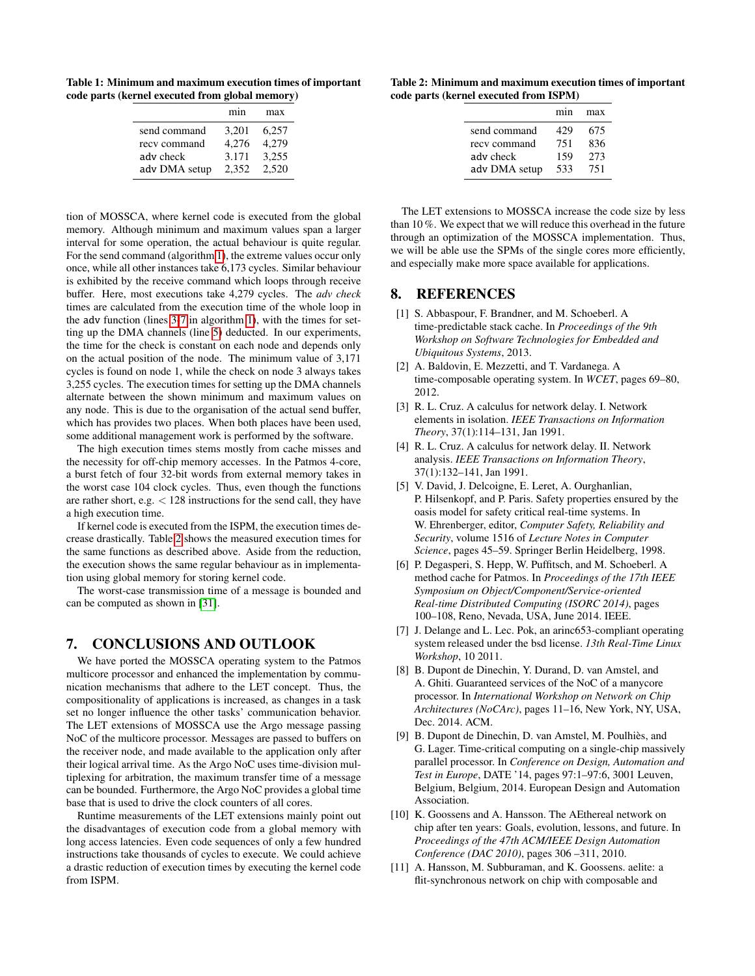<span id="page-4-12"></span>Table 1: Minimum and maximum execution times of important code parts (kernel executed from global memory)

| min   | max   |
|-------|-------|
| 3.201 | 6.257 |
| 4.276 | 4.279 |
| 3.171 | 3.255 |
| 2.352 | 2.520 |
|       |       |

tion of MOSSCA, where kernel code is executed from the global memory. Although minimum and maximum values span a larger interval for some operation, the actual behaviour is quite regular. For the send command (algorithm [1\)](#page-3-1), the extreme values occur only once, while all other instances take 6,173 cycles. Similar behaviour is exhibited by the receive command which loops through receive buffer. Here, most executions take 4,279 cycles. The *adv check* times are calculated from the execution time of the whole loop in the adv function (lines [3](#page-3-5)[-7](#page-3-6) in algorithm [1\)](#page-3-1), with the times for setting up the DMA channels (line [5\)](#page-3-4) deducted. In our experiments, the time for the check is constant on each node and depends only on the actual position of the node. The minimum value of 3,171 cycles is found on node 1, while the check on node 3 always takes 3,255 cycles. The execution times for setting up the DMA channels alternate between the shown minimum and maximum values on any node. This is due to the organisation of the actual send buffer, which has provides two places. When both places have been used, some additional management work is performed by the software.

The high execution times stems mostly from cache misses and the necessity for off-chip memory accesses. In the Patmos 4-core, a burst fetch of four 32-bit words from external memory takes in the worst case 104 clock cycles. Thus, even though the functions are rather short, e.g. < 128 instructions for the send call, they have a high execution time.

If kernel code is executed from the ISPM, the execution times decrease drastically. Table [2](#page-4-13) shows the measured execution times for the same functions as described above. Aside from the reduction, the execution shows the same regular behaviour as in implementation using global memory for storing kernel code.

The worst-case transmission time of a message is bounded and can be computed as shown in [\[31\]](#page-5-19).

## <span id="page-4-0"></span>7. CONCLUSIONS AND OUTLOOK

We have ported the MOSSCA operating system to the Patmos multicore processor and enhanced the implementation by communication mechanisms that adhere to the LET concept. Thus, the compositionality of applications is increased, as changes in a task set no longer influence the other tasks' communication behavior. The LET extensions of MOSSCA use the Argo message passing NoC of the multicore processor. Messages are passed to buffers on the receiver node, and made available to the application only after their logical arrival time. As the Argo NoC uses time-division multiplexing for arbitration, the maximum transfer time of a message can be bounded. Furthermore, the Argo NoC provides a global time base that is used to drive the clock counters of all cores.

Runtime measurements of the LET extensions mainly point out the disadvantages of execution code from a global memory with long access latencies. Even code sequences of only a few hundred instructions take thousands of cycles to execute. We could achieve a drastic reduction of execution times by executing the kernel code from ISPM.

<span id="page-4-13"></span>Table 2: Minimum and maximum execution times of important code parts (kernel executed from ISPM)

|               | min | max |
|---------------|-----|-----|
| send command  | 429 | 675 |
| recv command  | 751 | 836 |
| ady check     | 159 | 273 |
| adv DMA setup | 533 | 751 |

The LET extensions to MOSSCA increase the code size by less than 10 %. We expect that we will reduce this overhead in the future through an optimization of the MOSSCA implementation. Thus, we will be able use the SPMs of the single cores more efficiently, and especially make more space available for applications.

#### 8. REFERENCES

- <span id="page-4-10"></span>[1] S. Abbaspour, F. Brandner, and M. Schoeberl. A time-predictable stack cache. In *Proceedings of the 9th Workshop on Software Technologies for Embedded and Ubiquitous Systems*, 2013.
- <span id="page-4-7"></span>[2] A. Baldovin, E. Mezzetti, and T. Vardanega. A time-composable operating system. In *WCET*, pages 69–80, 2012.
- <span id="page-4-3"></span>[3] R. L. Cruz. A calculus for network delay. I. Network elements in isolation. *IEEE Transactions on Information Theory*, 37(1):114–131, Jan 1991.
- <span id="page-4-4"></span>[4] R. L. Cruz. A calculus for network delay. II. Network analysis. *IEEE Transactions on Information Theory*, 37(1):132–141, Jan 1991.
- <span id="page-4-11"></span>[5] V. David, J. Delcoigne, E. Leret, A. Ourghanlian, P. Hilsenkopf, and P. Paris. Safety properties ensured by the oasis model for safety critical real-time systems. In W. Ehrenberger, editor, *Computer Safety, Reliability and Security*, volume 1516 of *Lecture Notes in Computer Science*, pages 45–59. Springer Berlin Heidelberg, 1998.
- <span id="page-4-9"></span>[6] P. Degasperi, S. Hepp, W. Puffitsch, and M. Schoeberl. A method cache for Patmos. In *Proceedings of the 17th IEEE Symposium on Object/Component/Service-oriented Real-time Distributed Computing (ISORC 2014)*, pages 100–108, Reno, Nevada, USA, June 2014. IEEE.
- <span id="page-4-8"></span>[7] J. Delange and L. Lec. Pok, an arinc653-compliant operating system released under the bsd license. *13th Real-Time Linux Workshop*, 10 2011.
- <span id="page-4-6"></span>[8] B. Dupont de Dinechin, Y. Durand, D. van Amstel, and A. Ghiti. Guaranteed services of the NoC of a manycore processor. In *International Workshop on Network on Chip Architectures (NoCArc)*, pages 11–16, New York, NY, USA, Dec. 2014. ACM.
- <span id="page-4-5"></span>[9] B. Dupont de Dinechin, D. van Amstel, M. Poulhiès, and G. Lager. Time-critical computing on a single-chip massively parallel processor. In *Conference on Design, Automation and Test in Europe*, DATE '14, pages 97:1–97:6, 3001 Leuven, Belgium, Belgium, 2014. European Design and Automation Association.
- <span id="page-4-1"></span>[10] K. Goossens and A. Hansson. The AEthereal network on chip after ten years: Goals, evolution, lessons, and future. In *Proceedings of the 47th ACM/IEEE Design Automation Conference (DAC 2010)*, pages 306 –311, 2010.
- <span id="page-4-2"></span>[11] A. Hansson, M. Subburaman, and K. Goossens. aelite: a flit-synchronous network on chip with composable and